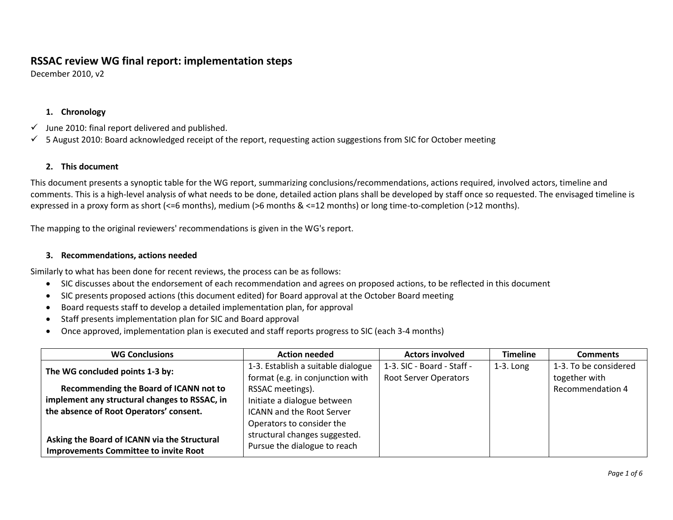## **RSSAC review WG final report: implementation steps**

December 2010, v2

## **1. Chronology**

- $\checkmark$  June 2010: final report delivered and published.
- $\checkmark$  5 August 2010: Board acknowledged receipt of the report, requesting action suggestions from SIC for October meeting

## **2. This document**

This document presents a synoptic table for the WG report, summarizing conclusions/recommendations, actions required, involved actors, timeline and comments. This is a high-level analysis of what needs to be done, detailed action plans shall be developed by staff once so requested. The envisaged timeline is expressed in a proxy form as short (<=6 months), medium (>6 months & <=12 months) or long time-to-completion (>12 months).

The mapping to the original reviewers' recommendations is given in the WG's report.

## **3. Recommendations, actions needed**

Similarly to what has been done for recent reviews, the process can be as follows:

- SIC discusses about the endorsement of each recommendation and agrees on proposed actions, to be reflected in this document
- SIC presents proposed actions (this document edited) for Board approval at the October Board meeting
- Board requests staff to develop a detailed implementation plan, for approval
- Staff presents implementation plan for SIC and Board approval
- Once approved, implementation plan is executed and staff reports progress to SIC (each 3-4 months)

| <b>WG Conclusions</b>                         | <b>Action needed</b>               | <b>Actors involved</b>       | <b>Timeline</b> | <b>Comments</b>         |
|-----------------------------------------------|------------------------------------|------------------------------|-----------------|-------------------------|
| The WG concluded points 1-3 by:               | 1-3. Establish a suitable dialogue | 1-3. SIC - Board - Staff -   | $1-3.$ Long     | 1-3. To be considered   |
|                                               | format (e.g. in conjunction with   | <b>Root Server Operators</b> |                 | together with           |
| Recommending the Board of ICANN not to        | RSSAC meetings).                   |                              |                 | <b>Recommendation 4</b> |
| implement any structural changes to RSSAC, in | Initiate a dialogue between        |                              |                 |                         |
| the absence of Root Operators' consent.       | <b>ICANN</b> and the Root Server   |                              |                 |                         |
|                                               | Operators to consider the          |                              |                 |                         |
| Asking the Board of ICANN via the Structural  | structural changes suggested.      |                              |                 |                         |
| <b>Improvements Committee to invite Root</b>  | Pursue the dialogue to reach       |                              |                 |                         |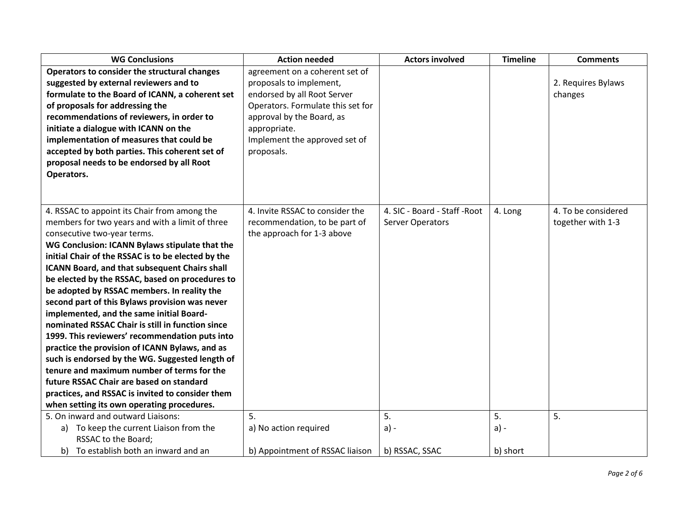| <b>WG Conclusions</b>                                | <b>Action needed</b>              | <b>Actors involved</b>        | <b>Timeline</b> | <b>Comments</b>     |
|------------------------------------------------------|-----------------------------------|-------------------------------|-----------------|---------------------|
| Operators to consider the structural changes         | agreement on a coherent set of    |                               |                 |                     |
| suggested by external reviewers and to               | proposals to implement,           |                               |                 | 2. Requires Bylaws  |
| formulate to the Board of ICANN, a coherent set      | endorsed by all Root Server       |                               |                 | changes             |
| of proposals for addressing the                      | Operators. Formulate this set for |                               |                 |                     |
| recommendations of reviewers, in order to            | approval by the Board, as         |                               |                 |                     |
| initiate a dialogue with ICANN on the                | appropriate.                      |                               |                 |                     |
| implementation of measures that could be             | Implement the approved set of     |                               |                 |                     |
| accepted by both parties. This coherent set of       | proposals.                        |                               |                 |                     |
| proposal needs to be endorsed by all Root            |                                   |                               |                 |                     |
| Operators.                                           |                                   |                               |                 |                     |
|                                                      |                                   |                               |                 |                     |
|                                                      |                                   |                               |                 |                     |
| 4. RSSAC to appoint its Chair from among the         | 4. Invite RSSAC to consider the   | 4. SIC - Board - Staff - Root | 4. Long         | 4. To be considered |
| members for two years and with a limit of three      | recommendation, to be part of     | <b>Server Operators</b>       |                 | together with 1-3   |
| consecutive two-year terms.                          | the approach for 1-3 above        |                               |                 |                     |
| WG Conclusion: ICANN Bylaws stipulate that the       |                                   |                               |                 |                     |
| initial Chair of the RSSAC is to be elected by the   |                                   |                               |                 |                     |
| <b>ICANN Board, and that subsequent Chairs shall</b> |                                   |                               |                 |                     |
| be elected by the RSSAC, based on procedures to      |                                   |                               |                 |                     |
| be adopted by RSSAC members. In reality the          |                                   |                               |                 |                     |
| second part of this Bylaws provision was never       |                                   |                               |                 |                     |
| implemented, and the same initial Board-             |                                   |                               |                 |                     |
| nominated RSSAC Chair is still in function since     |                                   |                               |                 |                     |
| 1999. This reviewers' recommendation puts into       |                                   |                               |                 |                     |
| practice the provision of ICANN Bylaws, and as       |                                   |                               |                 |                     |
| such is endorsed by the WG. Suggested length of      |                                   |                               |                 |                     |
| tenure and maximum number of terms for the           |                                   |                               |                 |                     |
| future RSSAC Chair are based on standard             |                                   |                               |                 |                     |
| practices, and RSSAC is invited to consider them     |                                   |                               |                 |                     |
| when setting its own operating procedures.           |                                   |                               |                 |                     |
| 5. On inward and outward Liaisons:                   | 5.                                | 5.                            | 5.              | 5.                  |
| a) To keep the current Liaison from the              | a) No action required             | $a) -$                        | $a) -$          |                     |
| RSSAC to the Board;                                  |                                   |                               |                 |                     |
| b) To establish both an inward and an                | b) Appointment of RSSAC liaison   | b) RSSAC, SSAC                | b) short        |                     |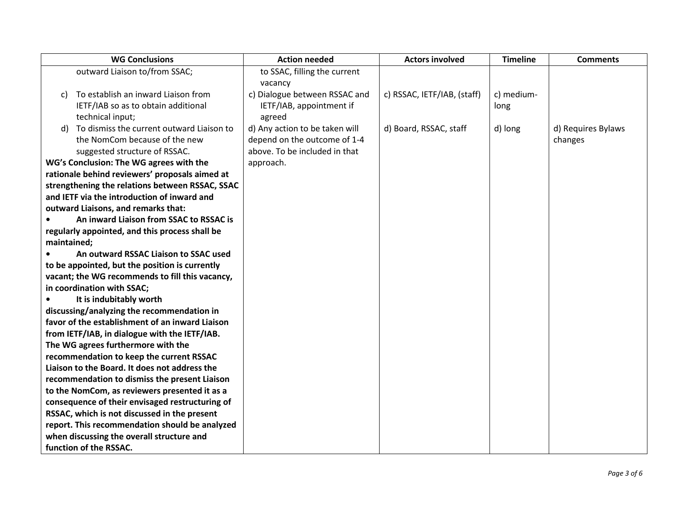|             | <b>WG Conclusions</b>                           | <b>Action needed</b>           | <b>Actors involved</b>      | <b>Timeline</b> | <b>Comments</b>    |
|-------------|-------------------------------------------------|--------------------------------|-----------------------------|-----------------|--------------------|
|             | outward Liaison to/from SSAC;                   | to SSAC, filling the current   |                             |                 |                    |
|             |                                                 | vacancy                        |                             |                 |                    |
| C)          | To establish an inward Liaison from             | c) Dialogue between RSSAC and  | c) RSSAC, IETF/IAB, (staff) | c) medium-      |                    |
|             | IETF/IAB so as to obtain additional             | IETF/IAB, appointment if       |                             | long            |                    |
|             | technical input;                                | agreed                         |                             |                 |                    |
| d)          | To dismiss the current outward Liaison to       | d) Any action to be taken will | d) Board, RSSAC, staff      | d) long         | d) Requires Bylaws |
|             | the NomCom because of the new                   | depend on the outcome of 1-4   |                             |                 | changes            |
|             | suggested structure of RSSAC.                   | above. To be included in that  |                             |                 |                    |
|             | WG's Conclusion: The WG agrees with the         | approach.                      |                             |                 |                    |
|             | rationale behind reviewers' proposals aimed at  |                                |                             |                 |                    |
|             | strengthening the relations between RSSAC, SSAC |                                |                             |                 |                    |
|             | and IETF via the introduction of inward and     |                                |                             |                 |                    |
|             | outward Liaisons, and remarks that:             |                                |                             |                 |                    |
|             | An inward Liaison from SSAC to RSSAC is         |                                |                             |                 |                    |
|             | regularly appointed, and this process shall be  |                                |                             |                 |                    |
| maintained; |                                                 |                                |                             |                 |                    |
|             | An outward RSSAC Liaison to SSAC used           |                                |                             |                 |                    |
|             | to be appointed, but the position is currently  |                                |                             |                 |                    |
|             | vacant; the WG recommends to fill this vacancy, |                                |                             |                 |                    |
|             | in coordination with SSAC;                      |                                |                             |                 |                    |
|             | It is indubitably worth                         |                                |                             |                 |                    |
|             | discussing/analyzing the recommendation in      |                                |                             |                 |                    |
|             | favor of the establishment of an inward Liaison |                                |                             |                 |                    |
|             | from IETF/IAB, in dialogue with the IETF/IAB.   |                                |                             |                 |                    |
|             | The WG agrees furthermore with the              |                                |                             |                 |                    |
|             | recommendation to keep the current RSSAC        |                                |                             |                 |                    |
|             | Liaison to the Board. It does not address the   |                                |                             |                 |                    |
|             | recommendation to dismiss the present Liaison   |                                |                             |                 |                    |
|             | to the NomCom, as reviewers presented it as a   |                                |                             |                 |                    |
|             | consequence of their envisaged restructuring of |                                |                             |                 |                    |
|             | RSSAC, which is not discussed in the present    |                                |                             |                 |                    |
|             | report. This recommendation should be analyzed  |                                |                             |                 |                    |
|             | when discussing the overall structure and       |                                |                             |                 |                    |
|             | function of the RSSAC.                          |                                |                             |                 |                    |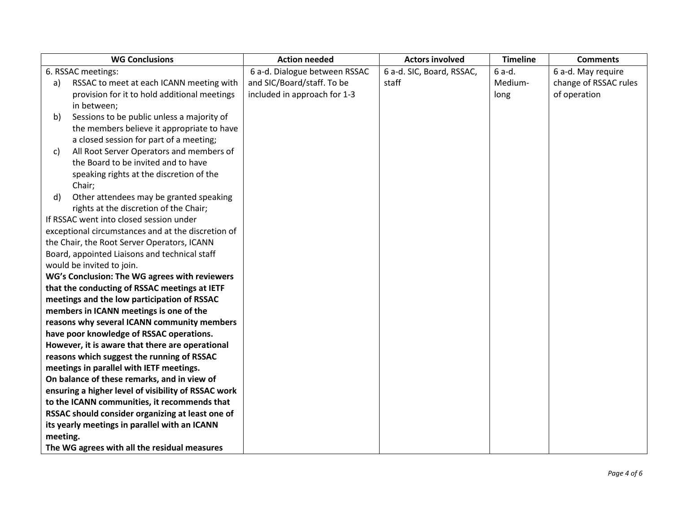|          | <b>WG Conclusions</b>                               | <b>Action needed</b>          | <b>Actors involved</b>    | <b>Timeline</b> | <b>Comments</b>       |
|----------|-----------------------------------------------------|-------------------------------|---------------------------|-----------------|-----------------------|
|          | 6. RSSAC meetings:                                  | 6 a-d. Dialogue between RSSAC | 6 a-d. SIC, Board, RSSAC, | 6 a-d.          | 6 a-d. May require    |
| a)       | RSSAC to meet at each ICANN meeting with            | and SIC/Board/staff. To be    | staff                     | Medium-         | change of RSSAC rules |
|          | provision for it to hold additional meetings        | included in approach for 1-3  |                           | long            | of operation          |
|          | in between;                                         |                               |                           |                 |                       |
| b)       | Sessions to be public unless a majority of          |                               |                           |                 |                       |
|          | the members believe it appropriate to have          |                               |                           |                 |                       |
|          | a closed session for part of a meeting;             |                               |                           |                 |                       |
| c)       | All Root Server Operators and members of            |                               |                           |                 |                       |
|          | the Board to be invited and to have                 |                               |                           |                 |                       |
|          | speaking rights at the discretion of the            |                               |                           |                 |                       |
|          | Chair;                                              |                               |                           |                 |                       |
| d)       | Other attendees may be granted speaking             |                               |                           |                 |                       |
|          | rights at the discretion of the Chair;              |                               |                           |                 |                       |
|          | If RSSAC went into closed session under             |                               |                           |                 |                       |
|          | exceptional circumstances and at the discretion of  |                               |                           |                 |                       |
|          | the Chair, the Root Server Operators, ICANN         |                               |                           |                 |                       |
|          | Board, appointed Liaisons and technical staff       |                               |                           |                 |                       |
|          | would be invited to join.                           |                               |                           |                 |                       |
|          | WG's Conclusion: The WG agrees with reviewers       |                               |                           |                 |                       |
|          | that the conducting of RSSAC meetings at IETF       |                               |                           |                 |                       |
|          | meetings and the low participation of RSSAC         |                               |                           |                 |                       |
|          | members in ICANN meetings is one of the             |                               |                           |                 |                       |
|          | reasons why several ICANN community members         |                               |                           |                 |                       |
|          | have poor knowledge of RSSAC operations.            |                               |                           |                 |                       |
|          | However, it is aware that there are operational     |                               |                           |                 |                       |
|          | reasons which suggest the running of RSSAC          |                               |                           |                 |                       |
|          | meetings in parallel with IETF meetings.            |                               |                           |                 |                       |
|          | On balance of these remarks, and in view of         |                               |                           |                 |                       |
|          | ensuring a higher level of visibility of RSSAC work |                               |                           |                 |                       |
|          | to the ICANN communities, it recommends that        |                               |                           |                 |                       |
|          | RSSAC should consider organizing at least one of    |                               |                           |                 |                       |
|          | its yearly meetings in parallel with an ICANN       |                               |                           |                 |                       |
| meeting. |                                                     |                               |                           |                 |                       |
|          | The WG agrees with all the residual measures        |                               |                           |                 |                       |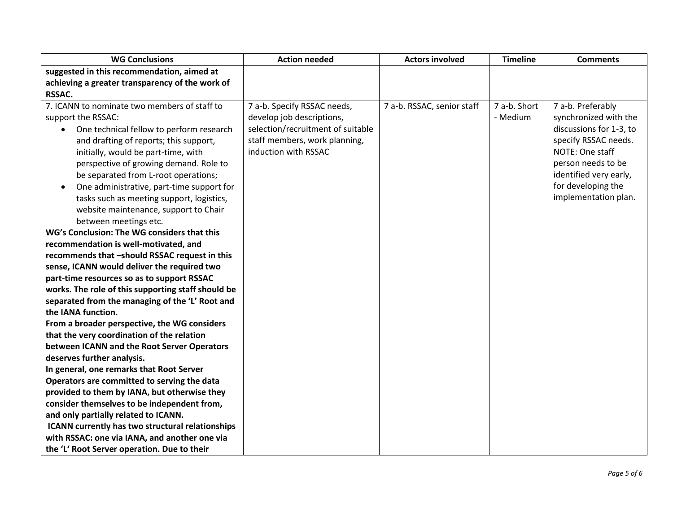| <b>WG Conclusions</b>                                   | <b>Action needed</b>              | <b>Actors involved</b>     | <b>Timeline</b> | <b>Comments</b>         |
|---------------------------------------------------------|-----------------------------------|----------------------------|-----------------|-------------------------|
| suggested in this recommendation, aimed at              |                                   |                            |                 |                         |
| achieving a greater transparency of the work of         |                                   |                            |                 |                         |
| RSSAC.                                                  |                                   |                            |                 |                         |
| 7. ICANN to nominate two members of staff to            | 7 a-b. Specify RSSAC needs,       | 7 a-b. RSSAC, senior staff | 7 a-b. Short    | 7 a-b. Preferably       |
| support the RSSAC:                                      | develop job descriptions,         |                            | - Medium        | synchronized with the   |
| One technical fellow to perform research                | selection/recruitment of suitable |                            |                 | discussions for 1-3, to |
| and drafting of reports; this support,                  | staff members, work planning,     |                            |                 | specify RSSAC needs.    |
| initially, would be part-time, with                     | induction with RSSAC              |                            |                 | NOTE: One staff         |
| perspective of growing demand. Role to                  |                                   |                            |                 | person needs to be      |
| be separated from L-root operations;                    |                                   |                            |                 | identified very early,  |
| One administrative, part-time support for<br>$\bullet$  |                                   |                            |                 | for developing the      |
| tasks such as meeting support, logistics,               |                                   |                            |                 | implementation plan.    |
| website maintenance, support to Chair                   |                                   |                            |                 |                         |
| between meetings etc.                                   |                                   |                            |                 |                         |
| WG's Conclusion: The WG considers that this             |                                   |                            |                 |                         |
| recommendation is well-motivated, and                   |                                   |                            |                 |                         |
| recommends that -should RSSAC request in this           |                                   |                            |                 |                         |
| sense, ICANN would deliver the required two             |                                   |                            |                 |                         |
| part-time resources so as to support RSSAC              |                                   |                            |                 |                         |
| works. The role of this supporting staff should be      |                                   |                            |                 |                         |
| separated from the managing of the 'L' Root and         |                                   |                            |                 |                         |
| the IANA function.                                      |                                   |                            |                 |                         |
| From a broader perspective, the WG considers            |                                   |                            |                 |                         |
| that the very coordination of the relation              |                                   |                            |                 |                         |
| between ICANN and the Root Server Operators             |                                   |                            |                 |                         |
| deserves further analysis.                              |                                   |                            |                 |                         |
| In general, one remarks that Root Server                |                                   |                            |                 |                         |
| Operators are committed to serving the data             |                                   |                            |                 |                         |
| provided to them by IANA, but otherwise they            |                                   |                            |                 |                         |
| consider themselves to be independent from,             |                                   |                            |                 |                         |
| and only partially related to ICANN.                    |                                   |                            |                 |                         |
| <b>ICANN currently has two structural relationships</b> |                                   |                            |                 |                         |
| with RSSAC: one via IANA, and another one via           |                                   |                            |                 |                         |
| the 'L' Root Server operation. Due to their             |                                   |                            |                 |                         |